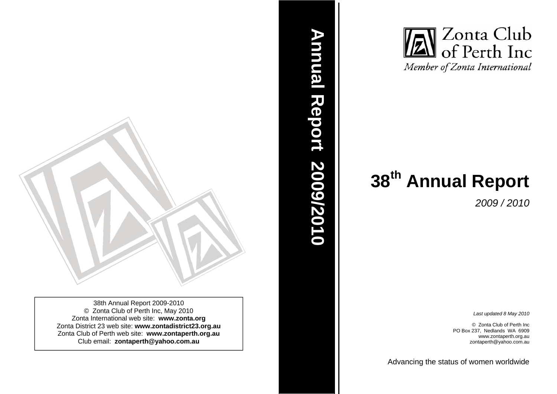

38th Annual Report 2009-2010 © Zonta Club of Perth Inc, May 2010 Zonta International web site: **www.zonta.org**  Zonta District 23 web site: **www.zontadistrict23.org.au** Zonta Club of Perth web site: **www.zontaperth.org.au**  Club email: **zontaperth@yahoo.com.au**



*2009 / 2010* 

*Last updated 8 May 2010* 

© Zonta Club of Perth Inc PO Box 237, Nedlands WA 6909 www.zontaperth.org.au zontaperth@yahoo.com.au

Advancin g the status of women worldwide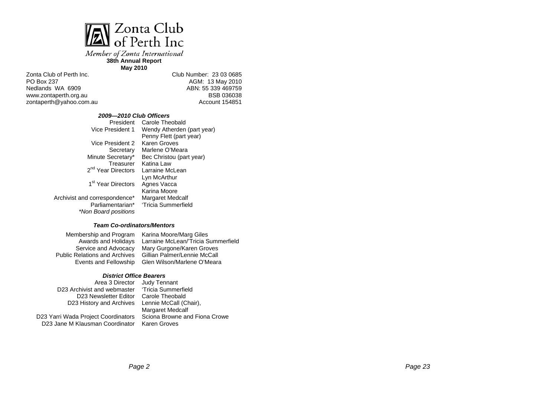

Member of Zonta International **38th Annual Report** 

**May 2010**

Zonta Club of Perth Inc. PO Box 237 Nedlands WA 6909 www.zontaperth.org.au zontaperth@yahoo.com.au Club Number: 23 03 0685 AGM: 13 May 2010 ABN: 55 339 469759 BSB 036038 Account 154851

#### *2009—2010 Club Officers*

| President                      | Carole Theobald            |
|--------------------------------|----------------------------|
| Vice President 1               | Wendy Atherden (part year) |
|                                | Penny Flett (part year)    |
| Vice President 2               | Karen Groves               |
| Secretary                      | Marlene O'Meara            |
| Minute Secretary*              | Bec Christou (part year)   |
| Treasurer                      | Katina Law                 |
| 2 <sup>nd</sup> Year Directors | Larraine McLean            |
|                                | Lyn McArthur               |
| 1 <sup>st</sup> Year Directors | Agnes Vacca                |
|                                | Karina Moore               |
| Archivist and correspondence*  | Margaret Medcalf           |
| Parliamentarian*               | 'Tricia Summerfield        |
| *Non Board positions           |                            |

#### *Team Co-ordinators/Mentors*

Awards and Holidays Service and Advocacy Public Relations and Archives

Membership and Program Karina Moore/Marg Giles Events and Fellowship Glen Wilson/Marlene O'Meara Larraine McLean/'Tricia Summerfield Mary Gurgone/Karen Groves Gillian Palmer/Lennie McCall

#### *District Office Bearers*

D23 Archivist and webmaster D23 Newsletter Editor Carole Theobald D23 History and Archives

Area 3 Director Judy Tennant 'Tricia Summerfield Lennie McCall (Chair), Margaret Medcalf Sciona Browne and Fiona Crowe Karen Groves

D23 Yarri Wada Project Coordinators D23 Jane M Klausman Coordinator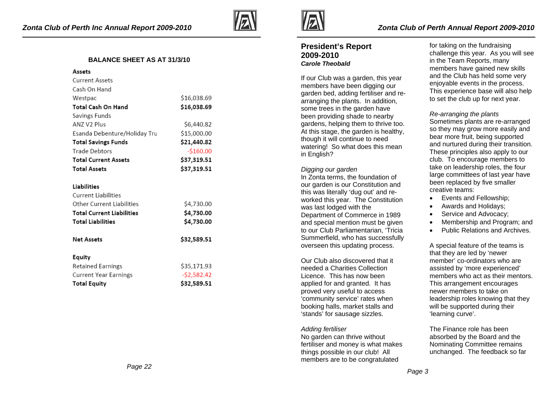

## **BALANCE SHEET AS AT 31/3/10**

| Assets                           |              |
|----------------------------------|--------------|
| <b>Current Assets</b>            |              |
| Cash On Hand                     |              |
| Westpac                          | \$16,038.69  |
| Total Cash On Hand               | \$16,038.69  |
| Savings Funds                    |              |
| ANZ V2 Plus                      | \$6,440.82   |
| Esanda Debenture/Holiday Tru     | \$15,000.00  |
| <b>Total Savings Funds</b>       | \$21,440.82  |
| <b>Trade Debtors</b>             | $-$160.00$   |
| <b>Total Current Assets</b>      | \$37,319.51  |
| <b>Total Assets</b>              | \$37,319.51  |
|                                  |              |
| <b>Liabilities</b>               |              |
| <b>Current Liabilities</b>       |              |
| Other Current Liabilities        | \$4,730.00   |
| <b>Total Current Liabilities</b> | \$4,730.00   |
| <b>Total Liabilities</b>         | \$4,730.00   |
|                                  |              |
| <b>Net Assets</b>                | \$32,589.51  |
|                                  |              |
| Equity                           |              |
| Retained Earnings                | \$35,171.93  |
| Current Year Earnings            | $-52,582.42$ |
| <b>Total Equity</b>              | \$32.589.51  |



# **President's Report 2009-2010** *Carole Theobald*

If our Club was a garden, this year members have been digging our garden bed, adding fertiliser and rearranging the plants. In addition, some trees in the garden have been providing shade to nearby gardens, helping them to thrive too. At this stage, the garden is healthy, though it will continue to need watering! So what does this mean in English?

#### *Digging our garden*

In Zonta terms, the foundation of our garden is our Constitution and this was literally 'dug out' and reworked this year. The Constitution was last lodged with the Department of Commerce in 1989 and special mention must be given to our Club Parliamentarian, 'Tricia Summerfield, who has successfully overseen this updating process.

Our Club also discovered that it needed a Charities Collection Licence. This has now been applied for and granted. It has proved very useful to access 'community service' rates when booking halls, market stalls and 'stands' for sausage sizzles.

#### *Adding fertiliser*

No garden can thrive without fertiliser and money is what makes things possible in our club! All members are to be congratulated

for taking on the fundraising challenge this year. As you will see in the Team Reports, many members have gained new skills and the Club has held some very enjoyable events in the process. This experience base will also help to set the club up for next year.

#### *Re-arranging the plants*

Sometimes plants are re-arranged so they may grow more easily and bear more fruit, being supported and nurtured during their transition. These principles also apply to our club. To encourage members to take on leadership roles, the four large committees of last year have been replaced by five smaller creative teams:

- Events and Fellowship;
- Awards and Holidays;
- Service and Advocacy:
- Membership and Program; and
- Public Relations and Archives.

A special feature of the teams is that they are led by 'newer member' co-ordinators who are assisted by 'more experienced' members who act as their mentors. This arrangement encourages newer members to take on leadership roles knowing that they will be supported during their 'learning curve'.

The Finance role has been absorbed by the Board and the Nominating Committee remains unchanged. The feedback so far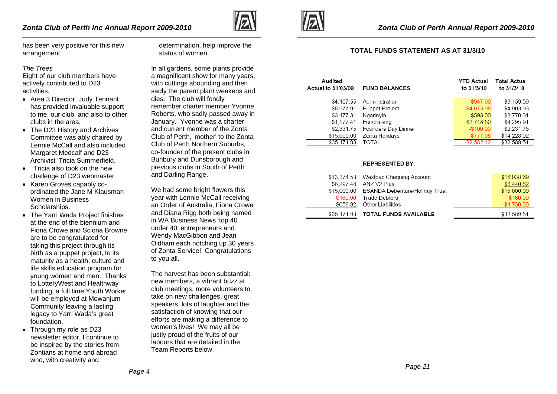

has been very positive for this new arrangement.

#### *The Trees*

Eight of our club members have actively contributed to D23 activities.

- Area 3 Director, Judy Tennant has provided invaluable support to me, our club, and also to other clubs in the area.
- The D23 History and Archives Committee was ably chaired by Lennie McCall and also included Margaret Medcalf and D23 Archivist 'Tricia Summerfield.
- 'Tricia also took on the new challenge of D23 webmaster.
- Karen Groves capably coordinated the Jane M Klausman Women in Business Scholarships.
- The Yarri Wada Project finishes at the end of the biennium and Fiona Crowe and Sciona Browne are to be congratulated for taking this project through its birth as a puppet project, to its maturity as a health, culture and life skills education program for young women and men. Thanks to LotteryWest and Healthway funding, a full time Youth Worker will be employed at Mowanjum Community leaving a lasting legacy to Yarri Wada's great foundation.
- Through my role as D23 newsletter editor, I continue to be inspired by the stories from Zontians at home and abroad who, with creativity and

determination, help improve the status of women.

In all gardens, some plants provide a magnificent show for many years, with cuttings abounding and then sadly the parent plant weakens and dies. The club will fondly remember charter member Yvonne Roberts, who sadly passed away in January. Yvonne was a charter and current member of the Zonta Club of Perth, 'mother' to the Zonta Club of Perth Northern Suburbs, co-founder of the present clubs in Bunbury and Dunsborough and previous clubs in South of Perth and Darling Range.

We had some bright flowers this year with Lennie McCall receiving an Order of Australia, Fiona Crowe and Diana Rigg both being named in WA Business News 'top 40 under 40' entrepreneurs and Wendy MacGibbon and Jean Oldham each notching up 30 years of Zonta Service! Congratulations to you all.

The harvest has been substantial: new members, a vibrant buzz at club meetings, more volunteers to take on new challenges, great speakers, lots of laughter and the satisfaction of knowing that our efforts are making a difference to women's lives! We may all be justly proud of the fruits of our labours that are detailed in the Team Reports below.



### **TOTAL FUNDS STATEMENT AS AT 31/3/10**

| Audited            |                       | <b>YTD Actual</b> | <b>Total Actual</b> |
|--------------------|-----------------------|-------------------|---------------------|
| Actual to 31/03/09 | <b>FUND BALANCES</b>  | to 31/3/10        | to 31/3/10          |
| \$4,107.55         | Administration        | $-$947.96$        | \$3,159.59          |
| \$8,977.91         | <b>Puppet Project</b> | $-$4,073.98$      | \$4,903.93          |
| \$3,177.31         | Ngarinyin             | \$593.00          | \$3,770.31          |
| \$1,577.41         | Fundraising           | \$2,718.50        | \$4,295.91          |
| \$2,331.75         | Founders Day Dinner   | $-$100.00$        | \$2,231.75          |
| \$15,000.00        | Zonta Holidays        | $-$ \$771.98      | \$14,228.02         |
| \$35,171.93        | TOTAL                 | $-$ \$2,582.42    | \$32,589.51         |

#### **REPRESENTED BY:**

|              | \$13,374.53 Westpac Chequing Account       | \$16,038.69  |
|--------------|--------------------------------------------|--------------|
| \$6,297.48   | ANZ V2 Plus                                | \$6,440.82   |
|              | \$15,000.00 ESANDA Debenture/Holiday Trust | \$15,000.00  |
| $-$ \$160.00 | Trade Debtors                              | $-$160.00$   |
|              | \$659.92 Other Liabilities                 | $-$4.730.00$ |
|              | \$35,171.93 TOTAL FUNDS AVAILABLE          | \$32,589.51  |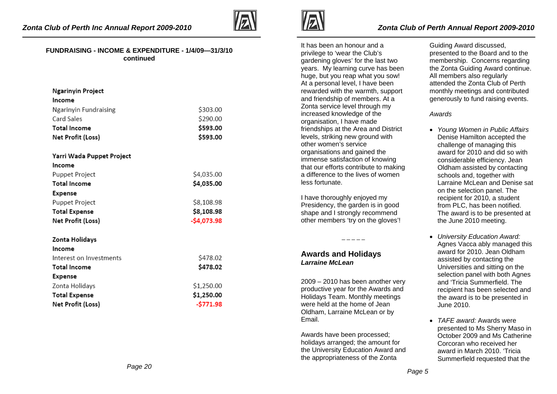

#### **FUNDRAISING - INCOME & EXPENDITURE - 1/4/09—31/3/10 continued**

| <b>Ngarinyin Project</b><br>Income |              |
|------------------------------------|--------------|
| Ngarinyin Fundraising              | \$303.00     |
| Card Sales                         | \$290.00     |
| <b>Total Income</b>                | \$593.00     |
| Net Profit (Loss)                  | \$593.00     |
| Yarri Wada Puppet Project          |              |
| Income                             |              |
| Puppet Project                     | \$4,035.00   |
| <b>Total Income</b>                | \$4,035.00   |
| <b>Expense</b>                     |              |
| Puppet Project                     | \$8,108.98   |
| <b>Total Expense</b>               | \$8,108.98   |
| Net Profit (Loss)                  | $-$4,073.98$ |
| Zonta Holidays                     |              |
| Income                             |              |
| Interest on Investments            | \$478.02     |
| <b>Total Income</b>                | \$478.02     |
| Expense                            |              |
| Zonta Holidays                     | \$1,250.00   |
| <b>Total Expense</b>               | \$1,250.00   |
| Net Profit (Loss)                  | $-$771.98$   |



It has been an honour and a privilege to 'wear the Club's gardening gloves' for the last two years. My learning curve has been huge, but you reap what you sow! At a personal level, I have been rewarded with the warmth, support and friendship of members. At a Zonta service level through my increased knowledge of the organisation, I have made friendships at the Area and District levels, striking new ground with other women's service organisations and gained the immense satisfaction of knowing that our efforts contribute to making a difference to the lives of women less fortunate.

I have thoroughly enjoyed my Presidency, the garden is in good shape and I strongly recommend other members 'try on the gloves'!

 $- - - - -$ 

# **Awards and Holidays**  *Larraine McLean*

2009 – 2010 has been another very productive year for the Awards and Holidays Team. Monthly meetings were held at the home of Jean Oldham, Larraine McLean or by Email.

Awards have been processed; holidays arranged; the amount for the University Education Award and the appropriateness of the Zonta

Guiding Award discussed, presented to the Board and to the membership. Concerns regarding the Zonta Guiding Award continue. All members also regularly attended the Zonta Club of Perth monthly meetings and contributed generously to fund raising events.

#### *Awards*

- *Young Women in Public Affairs*  Denise Hamilton accepted the challenge of managing this award for 2010 and did so with considerable efficiency. Jean Oldham assisted by contacting schools and, together with Larraine McLean and Denise sat on the selection panel. The recipient for 2010, a student from PLC, has been notified. The award is to be presented at the June 2010 meeting.
- *University Education Award:*  Agnes Vacca ably managed this award for 2010. Jean Oldham assisted by contacting the Universities and sitting on the selection panel with both Agnes and 'Tricia Summerfield. The recipient has been selected and the award is to be presented in June 2010.
- *TAFE award:* Awards were presented to Ms Sherry Maso in October 2009 and Ms Catherine Corcoran who received her award in March 2010. 'Tricia Summerfield requested that the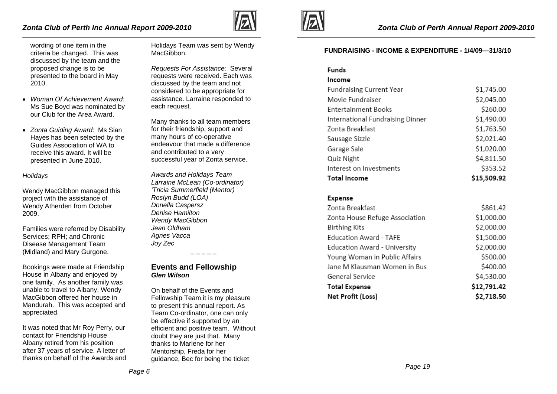# *Zonta Club of Perth Inc Annual Report 2009-2010*



wording of one item in the criteria be changed. This was discussed by the team and the proposed change is to be presented to the board in May 2010.

- *Woman Of Achievement Award:*  Ms Sue Boyd was nominated by our Club for the Area Award.
- *Zonta Guiding Award:* Ms Sian Hayes has been selected by the Guides Association of WA to receive this award. It will be presented in June 2010.

#### *Holidays*

Wendy MacGibbon managed this project with the assistance of Wendy Atherden from October 2009.

Families were referred by Disability Services; RPH; and Chronic Disease Management Team (Midland) and Mary Gurgone.

Bookings were made at Friendship House in Albany and enjoyed by one family. As another family was unable to travel to Albany, Wendy MacGibbon offered her house in Mandurah. This was accepted and appreciated.

It was noted that Mr Roy Perry, our contact for Friendship House Albany retired from his position after 37 years of service. A letter of thanks on behalf of the Awards and Holidays Team was sent by Wendy MacGibbon.

*Requests For Assistance:* Several requests were received. Each was discussed by the team and not considered to be appropriate for assistance. Larraine responded to each request.

Many thanks to all team members for their friendship, support and many hours of co-operative endeavour that made a difference and contributed to a very successful year of Zonta service.

*Awards and Holidays Team Larraine McLean (Co-ordinator) 'Tricia Summerfield (Mentor) Roslyn Budd (LOA) Donella Caspersz Denise Hamilton Wendy MacGibbon Jean Oldham Agnes Vacca Joy Zec* 

# **Events and Fellowship**  *Glen Wilson*

On behalf of the Events and Fellowship Team it is my pleasure to present this annual report. As Team Co-ordinator, one can only be effective if supported by an efficient and positive team. Without doubt they are just that. Many thanks to Marlene for her Mentorship, Freda for her guidance, Bec for being the ticket



### **FUNDRAISING - INCOME & EXPENDITURE - 1/4/09—31/3/10**

| Funds                            |             |
|----------------------------------|-------------|
| Income                           |             |
| <b>Fundraising Current Year</b>  | \$1,745.00  |
| Movie Fundraiser                 | \$2,045.00  |
| <b>Entertainment Books</b>       | \$260.00    |
| International Fundraising Dinner | \$1,490.00  |
| Zonta Breakfast                  | \$1,763.50  |
| Sausage Sizzle                   | \$2,021.40  |
| Garage Sale                      | \$1,020.00  |
| Quiz Night                       | \$4,811.50  |
| Interest on Investments          | \$353.52    |
| <b>Total Income</b>              | \$15,509.92 |
|                                  |             |

#### **Expense**

| Zonta Breakfast                | \$861.42    |
|--------------------------------|-------------|
| Zonta House Refuge Association | \$1,000.00  |
| <b>Birthing Kits</b>           | \$2,000.00  |
| <b>Education Award - TAFE</b>  | \$1,500.00  |
| Education Award - University   | \$2,000.00  |
| Young Woman in Public Affairs  | \$500.00    |
| Jane M Klausman Women in Bus   | \$400.00    |
| General Service                | \$4,530.00  |
| <b>Total Expense</b>           | \$12,791.42 |
| Net Profit (Loss)              | \$2,718.50  |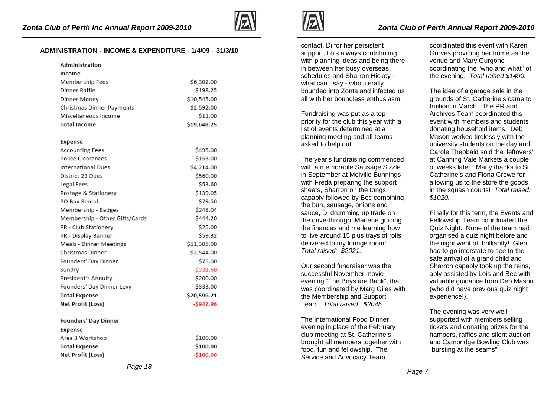

### **ADMINISTRATION - INCOME & EXPENDITURE - 1/4/09—31/3/10**

| Administration                 |              |
|--------------------------------|--------------|
| Income                         |              |
| Membership Fees                | \$6,302.00   |
| Dinner Raffle                  | \$198.25     |
| Dinner Money                   | \$10,545.00  |
| Christmas Dinner Payments      | \$2,592.00   |
| Miscellaneous Income           | \$11.00      |
| <b>Total Income</b>            | \$19,648.25  |
| Expense                        |              |
| Accounting Fees                | \$495.00     |
| Police Clearances              | \$153.00     |
| International Dues             | \$4,214.00   |
| District 23 Dues               | \$560.00     |
| Legal Fees                     | \$53.60      |
| Postage & Stationery           | \$139.05     |
| PO Box Rental                  | \$79.50      |
| Membership - Badges            | \$248.04     |
| Membership - Other Gifts/Cards | \$444.20     |
| PR - Club Stationery           | \$25.00      |
| PR - Display Banner            | \$59.32      |
| Meals - Dinner Meetings        | \$11,305.00  |
| Christmas Dinner               | \$2,544.00   |
| Founders' Day Dinner           | \$75.00      |
| Sundry                         | $-$ \$331.50 |
| President's Annuity            | \$200.00     |
| Founders' Day Dinner Levy      | \$333.00     |
| <b>Total Expense</b>           | \$20,596.21  |
| Net Profit (Loss)              | $-$947.96$   |
| <b>Founders' Day Dinner</b>    |              |
| Expense                        |              |
| Area 3 Workshop                | \$100.00     |
| <b>Total Expense</b>           | \$100.00     |
| Net Profit (Loss)              | $-$100.00$   |





contact, Di for her persistent support, Lois always contributing with planning ideas and being there in between her busy overseas schedules and Sharron Hickey – what can I say - who literally bounded into Zonta and infected us all with her boundless enthusiasm.

Fundraising was put as a top priority for the club this year with a list of events determined at a planning meeting and all teams asked to help out.

The year's fundraising commenced with a memorable Sausage Sizzle in September at Melville Bunnings with Freda preparing the support sheets, Sharron on the tongs, capably followed by Bec combining the bun, sausage, onions and sauce, Di drumming up trade on the drive-through, Marlene guiding the finances and me learning how to live around 15 plus trays of rolls delivered to my lounge room! *Total raised: \$2021.* 

Our second fundraiser was the successful November movie evening "The Boys are Back", that was coordinated by Marg Giles with the Membership and Support Team. *Total raised: \$2045.*

The International Food Dinner evening in place of the February club meeting at St. Catherine's brought all members together with food, fun and fellowship. The Service and Advocacy Team

coordinated this event with Karen Groves providing her home as the venue and Mary Gurgone coordinating the "who and what" of the evening. *Total raised \$1490.*

The idea of a garage sale in the grounds of St. Catherine's came to fruition in March. The PR and Archives Team coordinated this event with members and students donating household items. Deb Mason worked tirelessly with the university students on the day and Carole Theobald sold the 'leftovers' at Canning Vale Markets a couple of weeks later. Many thanks to St. Catherine's and Fiona Crowe for allowing us to the store the goods in the squash courts! *Total raised: \$1020.*

Finally for this term, the Events and Fellowship Team coordinated the Quiz Night. None of the team had organised a quiz night before and the night went off brilliantly! Glen had to go interstate to see to the safe arrival of a grand child and Sharron capably took up the reins, ably assisted by Lois and Bec with valuable guidance from Deb Mason (who did have previous quiz night experience!).

The evening was very well supported with members selling tickets and donating prizes for the hampers, raffles and silent auction and Cambridge Bowling Club was "bursting at the seams"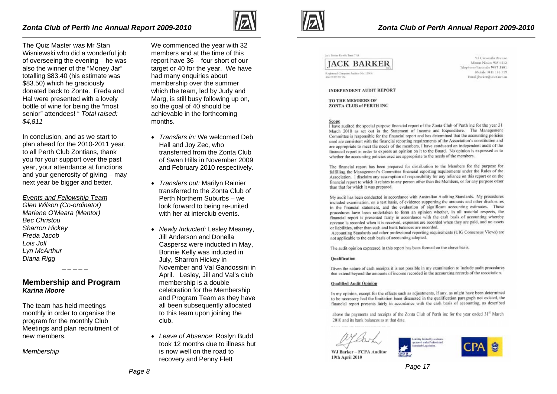

The Quiz Master was Mr Stan Wisniewski who did a wonderful job of overseeing the evening – he was also the winner of the "Money Jar" totalling \$83.40 (his estimate was \$83.50) which he graciously donated back to Zonta. Freda and Hal were presented with a lovely bottle of wine for being the "most senior" attendees! " *Total raised: \$4,811* 

In conclusion, and as we start to plan ahead for the 2010-2011 year, to all Perth Club Zontians, thank you for your support over the past year, your attendance at functions and your generosity of giving – may next year be bigger and better.

*Events and Fellowship Team Glen Wilson (Co-ordinator) Marlene O'Meara (Mentor) Bec Christou Sharron Hickey Freda Jacob Lois Joll Lyn McArthur Diana Rigg* 

**Membership and Program**  *Karina Moore* 

The team has held meetings monthly in order to organise the program for the monthly Club Meetings and plan recruitment of new members.

*Membership* 

We commenced the year with 32 members and at the time of this report have 36 – four short of our target or 40 for the year. We have had many enquiries about membership over the summer which the team, led by Judy and Marg, is still busy following up on, so the goal of 40 should be achievable in the forthcoming months.

- *Transfers in:* We welcomed Deb Hall and Joy Zec, who transferred from the Zonta Club of Swan Hills in November 2009 and February 2010 respectively.
- *Transfers out:* Marilyn Rainier transferred to the Zonta Club of Perth Northern Suburbs – we look forward to being re-united with her at interclub events.
- *Newly Inducted:* Lesley Meaney, Jill Anderson and Donella Caspersz were inducted in May, Bonnie Kelly was inducted in July, Sharron Hickey in November and Val Gandossini in April. Lesley, Jill and Val's club membership is a double celebration for the Membership and Program Team as they have all been subsequently allocated to this team upon joining the club.
- *Leave of Absence*: Roslyn Budd took 12 months due to illness but is now well on the road to recovery and Penny Flett





Registered Company Auditor No. 1390 A 942 Security and site

95 Caroosaha Avenue Mount Nasara WA 6112 Telephone/Facinal, 9497-3501 Mobile 0411 168 719 Email (barker@iinct.net.au

#### **INDEPENDENT AUDIT REPORT**

TO THE MEMBERS OF **ZONTA CLUB of PERTH INC** 

#### Scope

I have audited the special purpose financial report of the Zonta Club of Perth inc for the year 31 March 2010 as set out in the Statement of Income and Expenditure. The Management Committee is responsible for the financial report and has determined that the accounting policies used are consistent with the financial reporting requirements of the Association's constitution and are appropriate to meet the needs of the members, I have conducted an independent audit of the financial report in order to express an opinion on it to the Board. No opinion is expressed as to whether the accounting policies used are appropriate to the needs of the members.

The financial report has been prepared for distribution to the Members for the purpose for fulfilling the Management's Committee financial reporting requirements under the Rules of the Association. 1 disclaim any assumption of responsibility for any reliance on this report or on the financial report to which it relates to any person other than the Members, or for any purpose other than that for which it was prepared.

My audit has been conducted in accordance with Australian Auditing Standards. My procedures included examination, on a test basis, of evidence supporting the amounts and other disclosures in the financial statement, and the evaluation of significant accounting estimates. These procedures have been undertaken to form an opinion whether, in all material respects, the financial report is presented fairly in accordance with the cash basis of accounting whereby revenue is recorded when it is received, expenses are recorded when they are paid, and no assets or liabilities, other than cash and bank balances are recorded.

Accounting Standards and other professional reporting requirements (UIG Consensus Views) are not applicable to the cash basis of accounting adopted.

The audit opinion expressed in this report has been formed on the above basis.

#### **Qualification**

Given the nature of cash receipts it is not possible in my examination to include audit procedures that extend beyond the amounts of income recorded in the accounting records of the association.

#### **Qualified Audit Opinion**

In my opinion, except for the effects such as adjustments, if any, as might have been determined to be necessary had the limitation been discussed in the qualification paragraph not existed, the financial report presents fairly in accordance with the cash basis of accounting, as described

above the payments and receipts of the Zonta Club of Perth inc for the year ended 31<sup>st</sup> March 2010 and its bank balances as at that date.

WJ Barker - FCPA Auditor

19th April 2010

ability limited by a reflexed presed under Professional tandards Legislation.

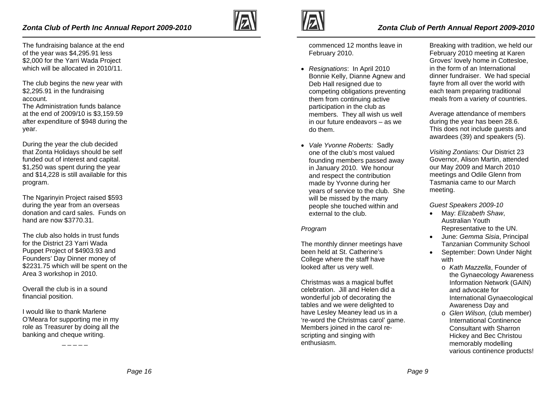The fundraising balance at the end of the year was \$4,295.91 less \$2,000 for the Yarri Wada Project which will be allocated in 2010/11.

The club begins the new year with \$2,295.91 in the fundraising account.

The Administration funds balance at the end of 2009/10 is \$3,159.59 after expenditure of \$948 during the year.

During the year the club decided that Zonta Holidays should be self funded out of interest and capital. \$1,250 was spent during the year and \$14,228 is still available for this program.

The Ngarinyin Project raised \$593 during the year from an overseas donation and card sales. Funds on hand are now \$3770.31.

The club also holds in trust funds for the District 23 Yarri Wada Puppet Project of \$4903.93 and Founders' Day Dinner money of \$2231.75 which will be spent on the Area 3 workshop in 2010.

Overall the club is in a sound financial position.

I would like to thank Marlene O'Meara for supporting me in my role as Treasurer by doing all the banking and cheque writing.

 $-$ 





commenced 12 months leave in February 2010.

- *Resignations*: In April 2010 Bonnie Kelly, Dianne Agnew and Deb Hall resigned due to competing obligations preventing them from continuing active participation in the club as members. They all wish us well in our future endeavors – as we do them.
- *Vale Yvonne Roberts:* Sadly one of the club's most valued founding members passed away in January 2010. We honour and respect the contribution made by Yvonne during her years of service to the club. She will be missed by the many people she touched within and external to the club.

## *Program*

The monthly dinner meetings have been held at St. Catherine's College where the staff have looked after us very well.

Christmas was a magical buffet celebration. Jill and Helen did a wonderful job of decorating the tables and we were delighted to have Lesley Meaney lead us in a 're-word the Christmas carol' game. Members joined in the carol rescripting and singing with enthusiasm.

Breaking with tradition, we held our February 2010 meeting at Karen Groves' lovely home in Cottesloe, in the form of an International dinner fundraiser. We had special fayre from all over the world with each team preparing traditional meals from a variety of countries.

Average attendance of members during the year has been 28.6. This does not include guests and awardees (39) and speakers (5).

*Visiting Zontians:* Our District 23 Governor, Alison Martin, attended our May 2009 and March 2010 meetings and Odile Glenn from Tasmania came to our March meeting.

## *Guest Speakers 2009-10*

- May: *Elizabeth Shaw*, Australian Youth Representative to the UN.
- June: *Gemma Sisia*, Principal Tanzanian Community School
- September: Down Under Night with
	- o *Kath Mazzella*, Founder of the Gynaecology Awareness Information Network (GAIN) and advocate for International Gynaecological Awareness Day and
	- o *Glen Wilson,* (club member) International Continence Consultant with Sharron Hickey and Bec Christou memorably modelling various continence products!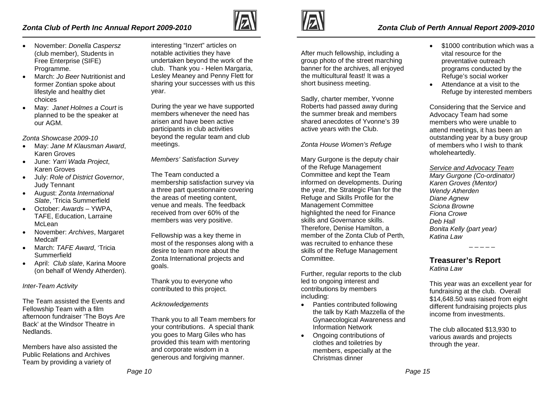# *Zonta Club of Perth Inc Annual Report 2009-2010*



- November: *Donella Caspersz* (club member), Students in Free Enterprise (SIFE) Programme.
- March: *Jo Beer* Nutritionist and former Zontian spoke about lifestyle and healthy diet choices
- May: *Janet Holmes a Court* is planned to be the speaker at our AGM.

*Zonta Showcase 2009-10* 

- May: *Jane M Klausman Award*, Karen Groves
- June: *Yarri Wada Project*, Karen Groves
- July: *Role of District Governor*, Judy Tennant
- August: *Zonta International Slate*, 'Tricia Summerfield
- October: *Awards* YWPA, TAFE, Education, Larraine McLean
- November: *Archives*, Margaret Medcalf
- March: *TAFE Award*, 'Tricia Summerfield
- April: *Club slate*, Karina Moore (on behalf of Wendy Atherden).

*Inter-Team Activity* 

The Team assisted the Events and Fellowship Team with a film afternoon fundraiser 'The Boys Are Back' at the Windsor Theatre in Nedlands.

Members have also assisted the Public Relations and Archives Team by providing a variety of

interesting "Inzert" articles on notable activities they have undertaken beyond the work of the club. Thank you - Helen Margaria, Lesley Meaney and Penny Flett for sharing your successes with us this year.

During the year we have supported members whenever the need has arisen and have been active participants in club activities beyond the regular team and club meetings.

*Members' Satisfaction Survey* 

The Team conducted a membership satisfaction survey via a three part questionnaire covering the areas of meeting content, venue and meals. The feedback received from over 60% of the members was very positive.

Fellowship was a key theme in most of the responses along with a desire to learn more about the Zonta International projects and goals.

Thank you to everyone who contributed to this project.

*Acknowledgements* 

Thank you to all Team members for your contributions. A special thank you goes to Marg Giles who has provided this team with mentoring and corporate wisdom in a generous and forgiving manner.



# *Zonta Club of Perth Annual Report 2009-2010*

After much fellowship, including a group photo of the street marching banner for the archives, all enjoyed the multicultural feast! It was a short business meeting.

Sadly, charter member, Yvonne Roberts had passed away during the summer break and members shared anecdotes of Yvonne's 39 active years with the Club.

## *Zonta House Women's Refuge*

Mary Gurgone is the deputy chair of the Refuge Management Committee and kept the Team informed on developments. During the year, the Strategic Plan for the Refuge and Skills Profile for the Management Committee highlighted the need for Finance skills and Governance skills. Therefore, Denise Hamilton, a member of the Zonta Club of Perth, was recruited to enhance these skills of the Refuge Management Committee.

Further, regular reports to the club led to ongoing interest and contributions by members including:

- Panties contributed following the talk by Kath Mazzella of the Gynaecological Awareness and Information Network
- Ongoing contributions of clothes and toiletries by members, especially at the Christmas dinner
- \$1000 contribution which was a vital resource for the preventative outreach programs conducted by the Refuge's social worker
- Attendance at a visit to the Refuge by interested members

Considering that the Service and Advocacy Team had some members who were unable to attend meetings, it has been an outstanding year by a busy group of members who I wish to thank wholeheartedly.

*Service and Advocacy Team*

*Mary Gurgone (Co-ordinator) Karen Groves (Mentor) Wendy Atherden Diane Agnew Sciona Browne Fiona Crowe Deb Hall Bonita Kelly (part year) Katina Law* 

**Treasurer's Report**  *Katina Law* 

This year was an excellent year for fundraising at the club. Overall \$14,648.50 was raised from eight different fundraising projects plus income from investments.

The club allocated \$13,930 to various awards and projects through the year.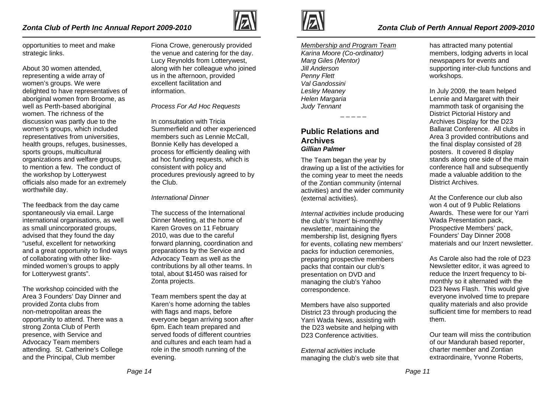# *Zonta Club of Perth Inc Annual Report 2009-2010*

opportunities to meet and make strategic links.

About 30 women attended, representing a wide array of women's groups. We were delighted to have representatives of aboriginal women from Broome, as well as Perth-based aboriginal women. The richness of the discussion was partly due to the women's groups, which included representatives from universities, health groups, refuges, businesses, sports groups, multicultural organizations and welfare groups, to mention a few. The conduct of the workshop by Lotterywest officials also made for an extremely worthwhile day.

The feedback from the day came spontaneously via email. Large international organisations, as well as small unincorporated groups, advised that they found the day "useful, excellent for networking and a great opportunity to find ways of collaborating with other likeminded women's groups to apply for Lotterywest grants".

The workshop coincided with the Area 3 Founders' Day Dinner and provided Zonta clubs from non-metropolitan areas the opportunity to attend. There was a strong Zonta Club of Perth presence, with Service and Advocacy Team members attending. St. Catherine's College and the Principal, Club member

Fiona Crowe, generously provided the venue and catering for the day. Lucy Reynolds from Lotterywest, along with her colleague who joined us in the afternoon, provided excellent facilitation and information.

*Process For Ad Hoc Requests* 

In consultation with Tricia Summerfield and other experienced members such as Lennie McCall. Bonnie Kelly has developed a process for efficiently dealing with ad hoc funding requests, which is consistent with policy and procedures previously agreed to by the Club.

*International Dinner* 

The success of the International Dinner Meeting, at the home of Karen Groves on 11 February 2010, was due to the careful forward planning, coordination and preparations by the Service and Advocacy Team as well as the contributions by all other teams. In total, about \$1450 was raised for Zonta projects.

Team members spent the day at Karen's home adorning the tables with flags and maps, before everyone began arriving soon after 6pm. Each team prepared and served foods of different countries and cultures and each team had a role in the smooth running of the evening.



*Zonta Club of Perth Annual Report 2009-2010* 

*Membership and Program Team Karina Moore (Co-ordinator) Marg Giles (Mentor) Jill Anderson Penny Flett Val Gandossini Lesley Meaney Helen Margaria Judy Tennant* 

# **Public Relations and Archives** *Gillian Palmer*

The Team began the year by drawing up a list of the activities for the coming year to meet the needs of the Zontian community (internal activities) and the wider community (external activities).

*Internal activities* include producing the club's 'Inzert' bi-monthly newsletter, maintaining the membership list, designing flyers for events, collating new members' packs for induction ceremonies, preparing prospective members packs that contain our club's presentation on DVD and managing the club's Yahoo correspondence.

Members have also supported District 23 through producing the Yarri Wada News, assisting with the D23 website and helping with D<sub>23</sub> Conference activities.

*External activities* include managing the club's web site that has attracted many potential members, lodging adverts in local newspapers for events and supporting inter-club functions and workshops.

In July 2009, the team helped Lennie and Margaret with their mammoth task of organising the District Pictorial History and Archives Display for the D23 Ballarat Conference. All clubs in Area 3 provided contributions and the final display consisted of 28 posters. It covered 8 display stands along one side of the main conference hall and subsequently made a valuable addition to the District Archives.

At the Conference our club also won 4 out of 9 Public Relations Awards. These were for our Yarri Wada Presentation pack, Prospective Members' pack, Founders' Day Dinner 2008 materials and our Inzert newsletter.

As Carole also had the role of D23 Newsletter editor, it was agreed to reduce the Inzert frequency to bimonthly so it alternated with the D23 News Flash. This would give everyone involved time to prepare quality materials and also provide sufficient time for members to read them.

Our team will miss the contribution of our Mandurah based reporter, charter member and Zontian extraordinaire, Yvonne Roberts,